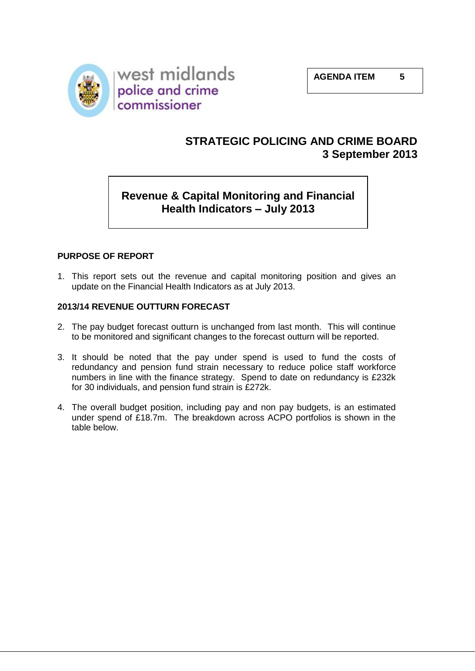

# **STRATEGIC POLICING AND CRIME BOARD 3 September 2013**

# **Revenue & Capital Monitoring and Financial Health Indicators – July 2013**

## **PURPOSE OF REPORT**

1. This report sets out the revenue and capital monitoring position and gives an update on the Financial Health Indicators as at July 2013.

### **2013/14 REVENUE OUTTURN FORECAST**

- 2. The pay budget forecast outturn is unchanged from last month. This will continue to be monitored and significant changes to the forecast outturn will be reported.
- 3. It should be noted that the pay under spend is used to fund the costs of redundancy and pension fund strain necessary to reduce police staff workforce numbers in line with the finance strategy. Spend to date on redundancy is £232k for 30 individuals, and pension fund strain is £272k.
- 4. The overall budget position, including pay and non pay budgets, is an estimated under spend of £18.7m. The breakdown across ACPO portfolios is shown in the table below.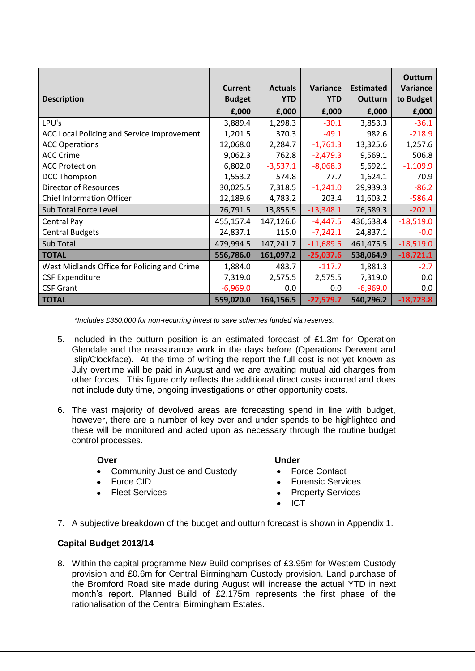| <b>Description</b>                          | <b>Current</b><br><b>Budget</b> | <b>Actuals</b><br><b>YTD</b> | Variance<br><b>YTD</b> | <b>Estimated</b><br><b>Outturn</b> | <b>Outturn</b><br><b>Variance</b><br>to Budget |
|---------------------------------------------|---------------------------------|------------------------------|------------------------|------------------------------------|------------------------------------------------|
|                                             | £,000                           | £,000                        | £,000                  | £,000                              | £,000                                          |
| LPU's                                       | 3,889.4                         | 1,298.3                      | $-30.1$                | 3,853.3                            | $-36.1$                                        |
| ACC Local Policing and Service Improvement  | 1,201.5                         | 370.3                        | $-49.1$                | 982.6                              | $-218.9$                                       |
| <b>ACC Operations</b>                       | 12,068.0                        | 2,284.7                      | $-1,761.3$             | 13,325.6                           | 1,257.6                                        |
| <b>ACC Crime</b>                            | 9,062.3                         | 762.8                        | $-2,479.3$             | 9,569.1                            | 506.8                                          |
| <b>ACC Protection</b>                       | 6,802.0                         | $-3,537.1$                   | $-8,068.3$             | 5,692.1                            | $-1,109.9$                                     |
| <b>DCC Thompson</b>                         | 1,553.2                         | 574.8                        | 77.7                   | 1,624.1                            | 70.9                                           |
| <b>Director of Resources</b>                | 30,025.5                        | 7,318.5                      | $-1,241.0$             | 29,939.3                           | $-86.2$                                        |
| <b>Chief Information Officer</b>            | 12,189.6                        | 4,783.2                      | 203.4                  | 11,603.2                           | $-586.4$                                       |
| Sub Total Force Level                       | 76,791.5                        | 13,855.5                     | $-13,348.1$            | 76,589.3                           | $-202.1$                                       |
| Central Pay                                 | 455,157.4                       | 147,126.6                    | $-4,447.5$             | 436,638.4                          | $-18,519.0$                                    |
| <b>Central Budgets</b>                      | 24,837.1                        | 115.0                        | $-7,242.1$             | 24,837.1                           | $-0.0$                                         |
| Sub Total                                   | 479,994.5                       | 147,241.7                    | $-11,689.5$            | 461,475.5                          | $-18,519.0$                                    |
| <b>TOTAL</b>                                | 556,786.0                       | 161,097.2                    | $-25,037.6$            | 538,064.9                          | $-18,721.1$                                    |
| West Midlands Office for Policing and Crime | 1,884.0                         | 483.7                        | $-117.7$               | 1,881.3                            | $-2.7$                                         |
| <b>CSF Expenditure</b>                      | 7,319.0                         | 2,575.5                      | 2,575.5                | 7,319.0                            | 0.0                                            |
| <b>CSF Grant</b>                            | $-6,969.0$                      | 0.0                          | 0.0                    | $-6,969.0$                         | 0.0                                            |
| <b>TOTAL</b>                                | 559,020.0                       | 164,156.5                    | $-22,579.7$            | 540,296.2                          | $-18,723.8$                                    |

*\*Includes £350,000 for non-recurring invest to save schemes funded via reserves.*

- 5. Included in the outturn position is an estimated forecast of £1.3m for Operation Glendale and the reassurance work in the days before (Operations Derwent and Islip/Clockface). At the time of writing the report the full cost is not yet known as July overtime will be paid in August and we are awaiting mutual aid charges from other forces. This figure only reflects the additional direct costs incurred and does not include duty time, ongoing investigations or other opportunity costs.
- 6. The vast majority of devolved areas are forecasting spend in line with budget, however, there are a number of key over and under spends to be highlighted and these will be monitored and acted upon as necessary through the routine budget control processes.

#### **Over Contract Contract Contract Contract Contract Contract Contract Contract Contract Contract Contract Contract Contract Contract Contract Contract Contract Contract Contract Contract Contract Contract Contract Contract**

- Community Justice and Custody Force Contact
- 
- 

- 
- Force CID Forensic Services
- Fleet Services **Property Services** 
	- ICT
- 7. A subjective breakdown of the budget and outturn forecast is shown in Appendix 1.

## **Capital Budget 2013/14**

8. Within the capital programme New Build comprises of £3.95m for Western Custody provision and £0.6m for Central Birmingham Custody provision. Land purchase of the Bromford Road site made during August will increase the actual YTD in next month's report. Planned Build of £2.175m represents the first phase of the rationalisation of the Central Birmingham Estates.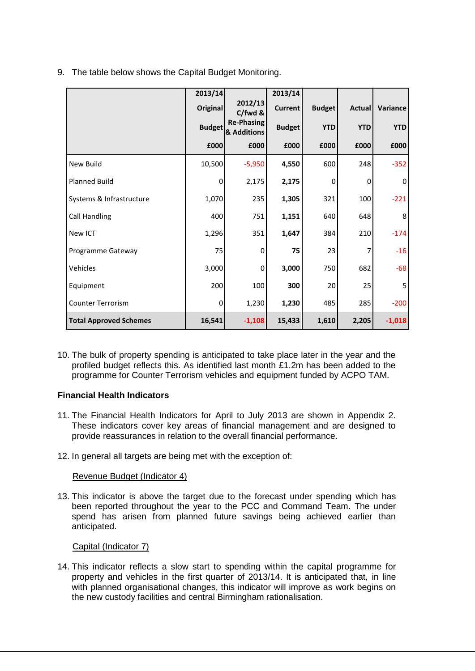|                               | 2013/14         |                                  | 2013/14        |               |               |             |
|-------------------------------|-----------------|----------------------------------|----------------|---------------|---------------|-------------|
|                               | <b>Original</b> | 2012/13<br>C/fwd &               | <b>Current</b> | <b>Budget</b> | <b>Actual</b> | Variance    |
|                               | <b>Budget</b>   | <b>Re-Phasing</b><br>& Additions | <b>Budget</b>  | <b>YTD</b>    | <b>YTD</b>    | <b>YTD</b>  |
|                               | £000            | £000                             | £000           | £000          | £000          | £000        |
| New Build                     | 10,500          | $-5,950$                         | 4,550          | 600           | 248           | $-352$      |
| Planned Build                 | $\mathbf 0$     | 2,175                            | 2,175          | $\mathbf 0$   | 0             | $\mathbf 0$ |
| Systems & Infrastructure      | 1,070           | 235                              | 1,305          | 321           | 100           | $-221$      |
| <b>Call Handling</b>          | 400             | 751                              | 1,151          | 640           | 648           | 8           |
| New ICT                       | 1,296           | 351                              | 1,647          | 384           | 210           | $-174$      |
| Programme Gateway             | 75              | 0                                | 75             | 23            | 7             | $-16$       |
| Vehicles                      | 3,000           | 0                                | 3,000          | 750           | 682           | $-68$       |
| Equipment                     | 200             | 100                              | 300            | 20            | 25            | 5           |
| <b>Counter Terrorism</b>      | 0               | 1,230                            | 1,230          | 485           | 285           | $-200$      |
| <b>Total Approved Schemes</b> | 16,541          | $-1,108$                         | 15,433         | 1,610         | 2,205         | $-1,018$    |

9. The table below shows the Capital Budget Monitoring.

10. The bulk of property spending is anticipated to take place later in the year and the profiled budget reflects this. As identified last month £1.2m has been added to the programme for Counter Terrorism vehicles and equipment funded by ACPO TAM.

#### **Financial Health Indicators**

- 11. The Financial Health Indicators for April to July 2013 are shown in Appendix 2. These indicators cover key areas of financial management and are designed to provide reassurances in relation to the overall financial performance.
- 12. In general all targets are being met with the exception of:

#### Revenue Budget (Indicator 4)

13. This indicator is above the target due to the forecast under spending which has been reported throughout the year to the PCC and Command Team. The under spend has arisen from planned future savings being achieved earlier than anticipated.

#### Capital (Indicator 7)

14. This indicator reflects a slow start to spending within the capital programme for property and vehicles in the first quarter of 2013/14. It is anticipated that, in line with planned organisational changes, this indicator will improve as work begins on the new custody facilities and central Birmingham rationalisation.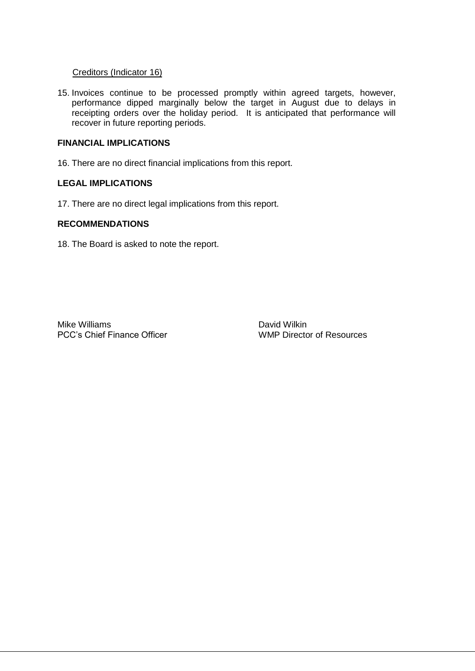#### Creditors (Indicator 16)

15. Invoices continue to be processed promptly within agreed targets, however, performance dipped marginally below the target in August due to delays in receipting orders over the holiday period. It is anticipated that performance will recover in future reporting periods.

#### **FINANCIAL IMPLICATIONS**

16. There are no direct financial implications from this report.

#### **LEGAL IMPLICATIONS**

17. There are no direct legal implications from this report.

#### **RECOMMENDATIONS**

18. The Board is asked to note the report.

Mike Williams<br>
PCC's Chief Finance Officer<br>
WMP Director of Resources PCC's Chief Finance Officer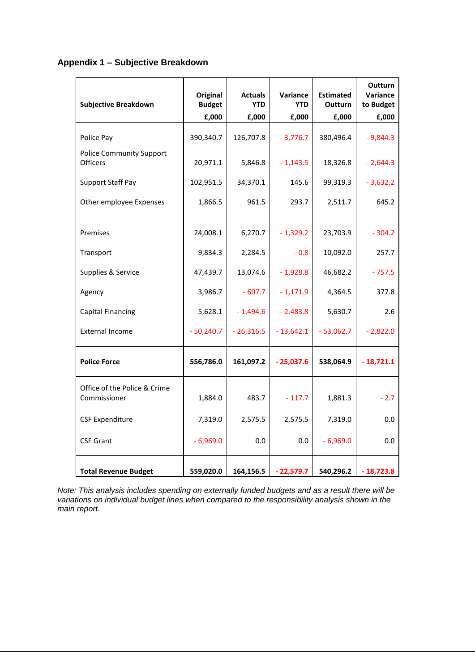## **Appendix 1 – Subjective Breakdown**

| <b>Subjective Breakdown</b>                        | Original<br><b>Budget</b> | <b>Actuals</b><br><b>YTD</b> | <b>Variance</b><br><b>YTD</b> | <b>Estimated</b><br><b>Outturn</b> | <b>Outturn</b><br>Variance<br>to Budget |  |
|----------------------------------------------------|---------------------------|------------------------------|-------------------------------|------------------------------------|-----------------------------------------|--|
|                                                    | E,000                     | £,000                        | £,000                         | £,000                              | £,000                                   |  |
| Police Pay                                         | 390,340.7                 | 126,707.8                    | $-3,776.7$                    | 380,496.4                          | $-9,844.3$                              |  |
| <b>Police Community Support</b><br><b>Officers</b> | 20,971.1                  | 5,846.8                      | $-1,143.5$                    | 18,326.8                           | $-2,644.3$                              |  |
| <b>Support Staff Pay</b>                           | 102,951.5                 | 34,370.1                     | 145.6                         | 99,319.3                           | $-3,632.2$                              |  |
| Other employee Expenses                            | 1,866.5                   | 961.5                        | 293.7                         | 2,511.7                            | 645.2                                   |  |
| Premises                                           | 24,008.1                  | 6,270.7                      | $-1,329.2$                    | 23,703.9                           | $-304.2$                                |  |
| Transport                                          | 9,834.3                   | 2,284.5                      | $-0.8$                        | 10,092.0                           | 257.7                                   |  |
| Supplies & Service                                 | 47,439.7                  | 13,074.6                     | $-1,928.8$                    | 46,682.2                           | $-757.5$                                |  |
| Agency                                             | 3,986.7                   | $-607.7$                     | $-1,171.9$                    | 4,364.5                            | 377.8                                   |  |
| <b>Capital Financing</b>                           | 5,628.1                   | $-1,494.6$                   | $-2,483.8$                    | 5,630.7                            | 2.6                                     |  |
| <b>External Income</b>                             | $-50,240.7$               | $-26,316.5$                  | $-13,642.1$                   | $-53,062.7$                        | $-2,822.0$                              |  |
| <b>Police Force</b>                                | 556,786.0                 | 161,097.2                    | $-25,037.6$                   | 538,064.9                          | - 18,721.1                              |  |
| Office of the Police & Crime<br>Commissioner       | 1,884.0                   | 483.7                        | $-117.7$                      | 1,881.3                            | $-2.7$                                  |  |
| <b>CSF Expenditure</b>                             | 7,319.0                   | 2,575.5                      | 2,575.5                       | 7,319.0                            | 0.0                                     |  |
| <b>CSF Grant</b>                                   | $-6,969.0$                | 0.0                          | 0.0                           | $-6,969.0$                         | 0.0                                     |  |
| <b>Total Revenue Budget</b>                        | 559,020.0                 | 164,156.5                    | $-22,579.7$                   | 540,296.2                          | $-18,723.8$                             |  |

*Note: This analysis includes spending on externally funded budgets and as a result there will be variations on individual budget lines when compared to the responsibility analysis shown in the main report.*